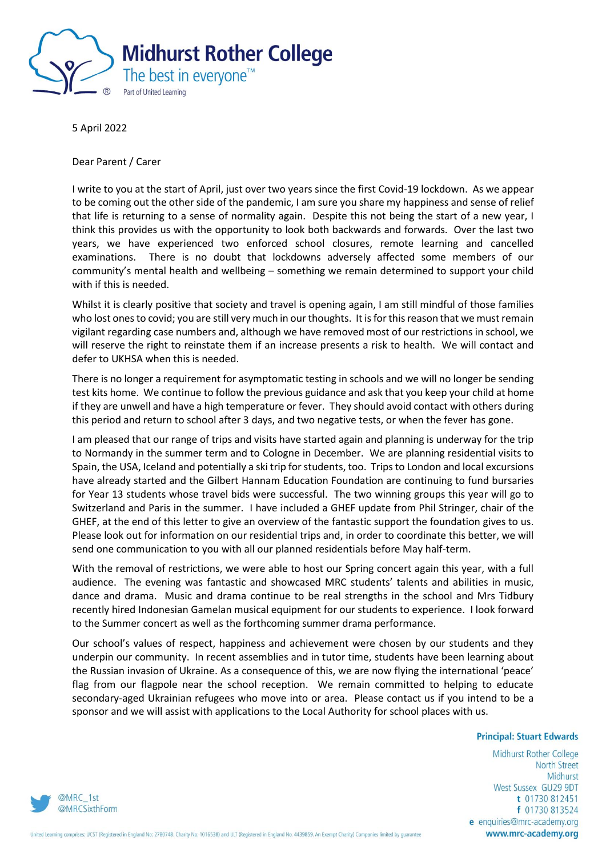

5 April 2022

Dear Parent / Carer

I write to you at the start of April, just over two years since the first Covid-19 lockdown. As we appear to be coming out the other side of the pandemic, I am sure you share my happiness and sense of relief that life is returning to a sense of normality again. Despite this not being the start of a new year, I think this provides us with the opportunity to look both backwards and forwards. Over the last two years, we have experienced two enforced school closures, remote learning and cancelled examinations. There is no doubt that lockdowns adversely affected some members of our community's mental health and wellbeing – something we remain determined to support your child with if this is needed.

Whilst it is clearly positive that society and travel is opening again, I am still mindful of those families who lost ones to covid; you are still very much in our thoughts. It is for this reason that we must remain vigilant regarding case numbers and, although we have removed most of our restrictions in school, we will reserve the right to reinstate them if an increase presents a risk to health. We will contact and defer to UKHSA when this is needed.

There is no longer a requirement for asymptomatic testing in schools and we will no longer be sending test kits home. We continue to follow the previous guidance and ask that you keep your child at home if they are unwell and have a high temperature or fever. They should avoid contact with others during this period and return to school after 3 days, and two negative tests, or when the fever has gone.

I am pleased that our range of trips and visits have started again and planning is underway for the trip to Normandy in the summer term and to Cologne in December. We are planning residential visits to Spain, the USA, Iceland and potentially a ski trip for students, too. Trips to London and local excursions have already started and the Gilbert Hannam Education Foundation are continuing to fund bursaries for Year 13 students whose travel bids were successful. The two winning groups this year will go to Switzerland and Paris in the summer. I have included a GHEF update from Phil Stringer, chair of the GHEF, at the end of this letter to give an overview of the fantastic support the foundation gives to us. Please look out for information on our residential trips and, in order to coordinate this better, we will send one communication to you with all our planned residentials before May half-term.

With the removal of restrictions, we were able to host our Spring concert again this year, with a full audience. The evening was fantastic and showcased MRC students' talents and abilities in music, dance and drama. Music and drama continue to be real strengths in the school and Mrs Tidbury recently hired Indonesian Gamelan musical equipment for our students to experience. I look forward to the Summer concert as well as the forthcoming summer drama performance.

Our school's values of respect, happiness and achievement were chosen by our students and they underpin our community. In recent assemblies and in tutor time, students have been learning about the Russian invasion of Ukraine. As a consequence of this, we are now flying the international 'peace' flag from our flagpole near the school reception. We remain committed to helping to educate secondary-aged Ukrainian refugees who move into or area. Please contact us if you intend to be a sponsor and we will assist with applications to the Local Authority for school places with us.

## **Principal: Stuart Edwards**

Midhurst Rother College **North Street** Midhurst West Sussex GU29 9DT t 01730 812451 f 01730 813524 e enquiries@mrc-academy.org www.mrc-academy.org